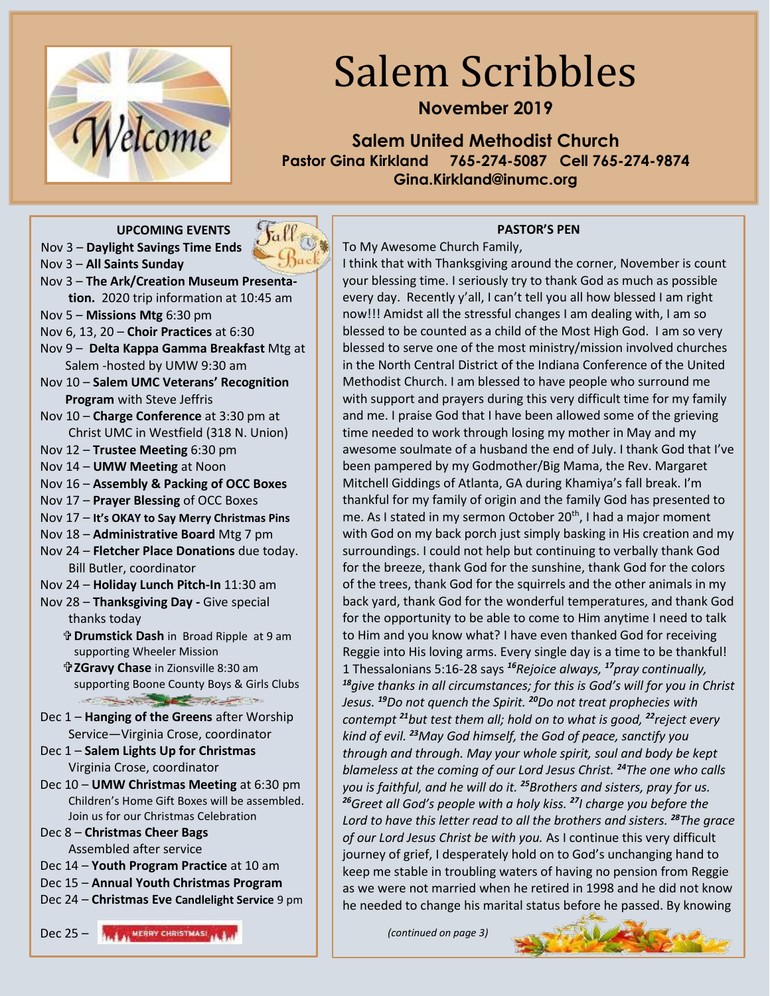

Nov 3 – **Daylight Savings Time Ends**

Nov 6, 13, 20 – **Choir Practices** at 6:30

 **Program** with Steve Jeffris

Nov 12 – **Trustee Meeting** 6:30 pm Nov 14 – **UMW Meeting** at Noon

Bill Butler, coordinator

thanks today

Nov 10 – **Charge Conference** at 3:30 pm at Christ UMC in Westfield (318 N. Union)

Nov 16 – **Assembly & Packing of OCC Boxes** Nov 17 – **Prayer Blessing** of OCC Boxes Nov 17 – **It's OKAY to Say Merry Christmas Pins** Nov 18 – **Administrative Board** Mtg 7 pm Nov 24 – **Fletcher Place Donations** due today.

Nov 24 – **Holiday Lunch Pitch-In** 11:30 am Nov 28 – **Thanksgiving Day -** Give special

> supporting Wheeler Mission **ZGravy Chase** in Zionsville 8:30 am

Dec 1 – **Salem Lights Up for Christmas** Virginia Crose, coordinator

Dec 8 – **Christmas Cheer Bags** Assembled after service

Dec 25 - ALL ALMERRY CHRISTMASI ALL AND

**Drumstick Dash** in Broad Ripple at 9 am

supporting Boone County Boys & Girls Clubs

Dec 1 – **Hanging of the Greens** after Worship Service—Virginia Crose, coordinator

and the contract of the contract of the contract of the contract of the contract of the contract of the contract of

Dec 10 – **UMW Christmas Meeting** at 6:30 pm Children's Home Gift Boxes will be assembled.

Join us for our Christmas Celebration

Dec 14 – **Youth Program Practice** at 10 am Dec 15 – **Annual Youth Christmas Program** Dec 24 – **Christmas Eve Candlelight Service** 9 pm

Nov 3 – **All Saints Sunday**

Nov 5 – **Missions Mtg** 6:30 pm

**UPCOMING EVENTS**

Nov 3 – **The Ark/Creation Museum Presentation.** 2020 trip information at 10:45 am

Nov 9 – **Delta Kappa Gamma Breakfast** Mtg at Salem -hosted by UMW 9:30 am Nov 10 – **Salem UMC Veterans' Recognition**

# Salem Scribbles

**November 2019**

**Salem United Methodist Church Pastor Gina Kirkland 765-274-5087 Cell 765-274-9874 Gina.Kirkland@inumc.org**

### **PASTOR'S PEN**

To My Awesome Church Family,

I think that with Thanksgiving around the corner, November is count your blessing time. I seriously try to thank God as much as possible every day. Recently y'all, I can't tell you all how blessed I am right now!!! Amidst all the stressful changes I am dealing with, I am so blessed to be counted as a child of the Most High God. I am so very blessed to serve one of the most ministry/mission involved churches in the North Central District of the Indiana Conference of the United Methodist Church. I am blessed to have people who surround me with support and prayers during this very difficult time for my family and me. I praise God that I have been allowed some of the grieving time needed to work through losing my mother in May and my awesome soulmate of a husband the end of July. I thank God that I've been pampered by my Godmother/Big Mama, the Rev. Margaret Mitchell Giddings of Atlanta, GA during Khamiya's fall break. I'm thankful for my family of origin and the family God has presented to me. As I stated in my sermon October 20<sup>th</sup>, I had a major moment with God on my back porch just simply basking in His creation and my surroundings. I could not help but continuing to verbally thank God for the breeze, thank God for the sunshine, thank God for the colors of the trees, thank God for the squirrels and the other animals in my back yard, thank God for the wonderful temperatures, and thank God for the opportunity to be able to come to Him anytime I need to talk to Him and you know what? I have even thanked God for receiving Reggie into His loving arms. Every single day is a time to be thankful! 1 Thessalonians 5:16-28 says *<sup>16</sup>Rejoice always, <sup>17</sup>pray continually, <sup>18</sup>give thanks in all circumstances; for this is God's will for you in Christ Jesus. <sup>19</sup>Do not quench the Spirit. <sup>20</sup>Do not treat prophecies with contempt <sup>21</sup>but test them all; hold on to what is good, <sup>22</sup>reject every kind of evil. <sup>23</sup>May God himself, the God of peace, sanctify you through and through. May your whole spirit, soul and body be kept blameless at the coming of our Lord Jesus Christ. <sup>24</sup>The one who calls you is faithful, and he will do it. <sup>25</sup>Brothers and sisters, pray for us. <sup>26</sup>Greet all God's people with a holy kiss. <sup>27</sup>I charge you before the Lord to have this letter read to all the brothers and sisters. <sup>28</sup>The grace of our Lord Jesus Christ be with you.* As I continue this very difficult journey of grief, I desperately hold on to God's unchanging hand to keep me stable in troubling waters of having no pension from Reggie as we were not married when he retired in 1998 and he did not know he needed to change his marital status before he passed. By knowing

*(continued on page 3)*

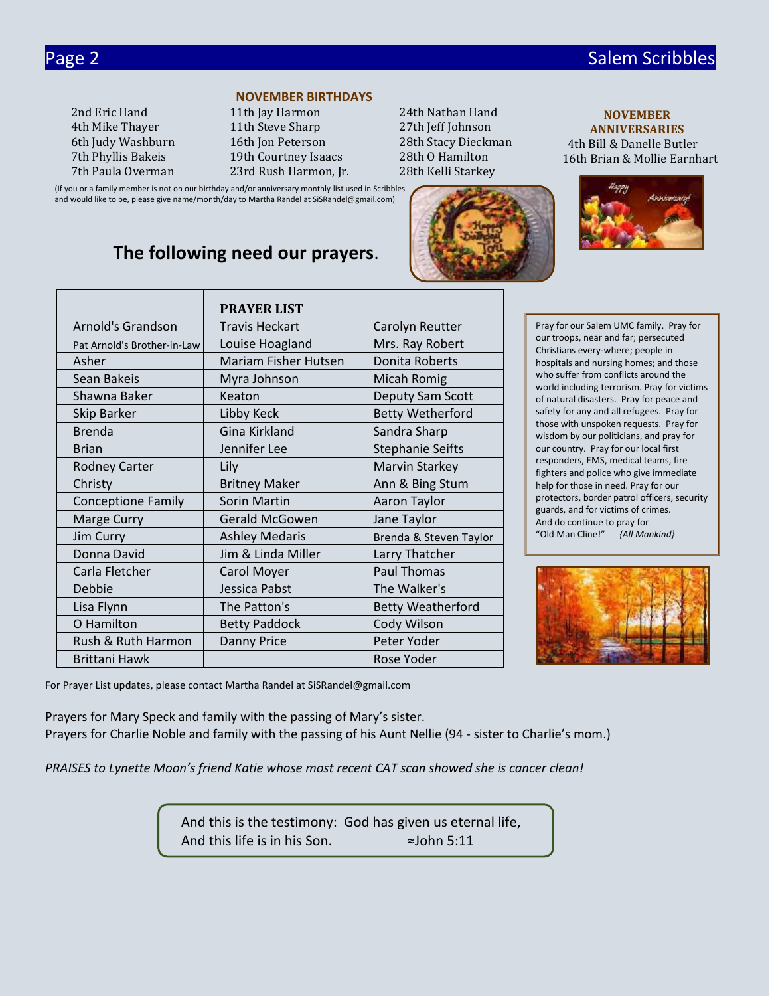#### **NOVEMBER BIRTHDAYS**

2nd Eric Hand 11th Jay Harmon 24th Nathan Hand 4th Mike Thayer 11th Steve Sharp 27th Jeff Johnson 6th Judy Washburn 16th Jon Peterson 28th Stacy Dieckman 7th Phyllis Bakeis 19th Courtney Isaacs 28th O Hamilton 7th Paula Overman 23rd Rush Harmon, Jr. 28th Kelli Starkey

#### **NOVEMBER ANNIVERSARIES**

 4th Bill & Danelle Butler 16th Brian & Mollie Earnhart

(If you or a family member is not on our birthday and/or anniversary monthly list used in Scribbles and would like to be, please give name/month/day to Martha Randel at SiSRandel@gmail.com)

# **The following need our prayers**.



|                             | <b>PRAYER LIST</b>          |                          |  |
|-----------------------------|-----------------------------|--------------------------|--|
| Arnold's Grandson           | <b>Travis Heckart</b>       | Carolyn Reutter          |  |
| Pat Arnold's Brother-in-Law | Louise Hoagland             | Mrs. Ray Robert          |  |
| Asher                       | <b>Mariam Fisher Hutsen</b> | Donita Roberts           |  |
| Sean Bakeis                 | Myra Johnson                | Micah Romig              |  |
| Shawna Baker                | Keaton                      | Deputy Sam Scott         |  |
| Skip Barker                 | Libby Keck                  | <b>Betty Wetherford</b>  |  |
| <b>Brenda</b>               | Gina Kirkland               | Sandra Sharp             |  |
| <b>Brian</b>                | Jennifer Lee                | <b>Stephanie Seifts</b>  |  |
| <b>Rodney Carter</b>        | Lily                        | <b>Marvin Starkey</b>    |  |
| Christy                     | <b>Britney Maker</b>        | Ann & Bing Stum          |  |
| <b>Conceptione Family</b>   | Sorin Martin                | Aaron Taylor             |  |
| Marge Curry                 | <b>Gerald McGowen</b>       | Jane Taylor              |  |
| Jim Curry                   | <b>Ashley Medaris</b>       | Brenda & Steven Taylor   |  |
| Donna David                 | Jim & Linda Miller          | Larry Thatcher           |  |
| Carla Fletcher              | Carol Moyer                 | Paul Thomas              |  |
| Debbie                      | Jessica Pabst               | The Walker's             |  |
| Lisa Flynn                  | The Patton's                | <b>Betty Weatherford</b> |  |
| O Hamilton                  | <b>Betty Paddock</b>        | Cody Wilson              |  |
| Rush & Ruth Harmon          | <b>Danny Price</b>          | Peter Yoder              |  |
| <b>Brittani Hawk</b>        |                             | Rose Yoder               |  |

Pray for our Salem UMC family. Pray for our troops, near and far; persecuted Christians every-where; people in hospitals and nursing homes; and those who suffer from conflicts around the world including terrorism. Pray for victims of natural disasters. Pray for peace and safety for any and all refugees. Pray for those with unspoken requests. Pray for wisdom by our politicians, and pray for our country. Pray for our local first responders, EMS, medical teams, fire fighters and police who give immediate help for those in need. Pray for our protectors, border patrol officers, security guards, and for victims of crimes. And do continue to pray for "Old Man Cline!" *{All Mankind}*



For Prayer List updates, please contact Martha Randel at SiSRandel@gmail.com

Prayers for Mary Speck and family with the passing of Mary's sister. Prayers for Charlie Noble and family with the passing of his Aunt Nellie (94 - sister to Charlie's mom.)

*PRAISES to Lynette Moon's friend Katie whose most recent CAT scan showed she is cancer clean!*

And this is the testimony: God has given us eternal life, And this life is in his Son.  $≈$ John 5:11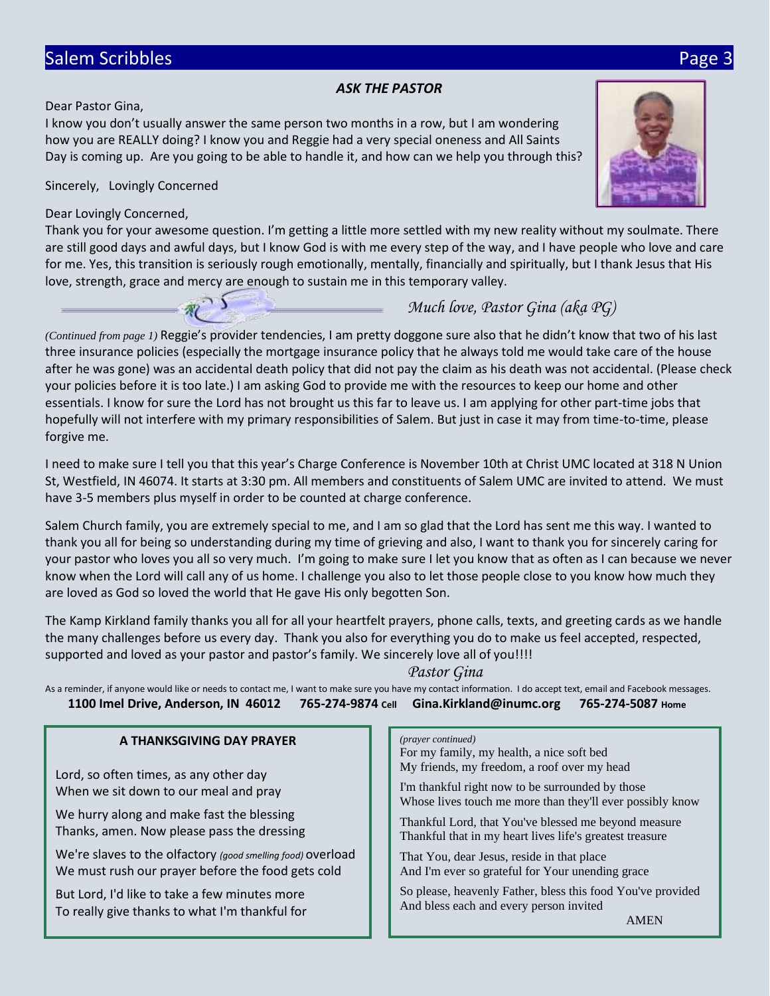# Salem Scribbles **Page 3** and the sales of the sales of the sales of the sales of the sales of the sales of the sales

# *ASK THE PASTOR*

Dear Pastor Gina,

I know you don't usually answer the same person two months in a row, but I am wondering how you are REALLY doing? I know you and Reggie had a very special oneness and All Saints Day is coming up. Are you going to be able to handle it, and how can we help you through this?

Sincerely, Lovingly Concerned

Dear Lovingly Concerned,

Thank you for your awesome question. I'm getting a little more settled with my new reality without my soulmate. There are still good days and awful days, but I know God is with me every step of the way, and I have people who love and care for me. Yes, this transition is seriously rough emotionally, mentally, financially and spiritually, but I thank Jesus that His lo[ve, strength, grace and mercy are enough to sustain me in](https://www.faithclipart.com/fca/affiliate.do?id=58&coupon=christmas) this temporary valley.

*Much love, Pastor Gina (aka PG)*

*(Continued from page 1)* Reggie's provider tendencies, I am pretty doggone sure also that he didn't know that two of his last three insurance policies (especially the mortgage insurance policy that he always told me would take care of the house after he was gone) was an accidental death policy that did not pay the claim as his death was not accidental. (Please check your policies before it is too late.) I am asking God to provide me with the resources to keep our home and other essentials. I know for sure the Lord has not brought us this far to leave us. I am applying for other part-time jobs that hopefully will not interfere with my primary responsibilities of Salem. But just in case it may from time-to-time, please forgive me.

I need to make sure I tell you that this year's Charge Conference is November 10th at Christ UMC located at 318 N Union St, Westfield, IN 46074. It starts at 3:30 pm. All members and constituents of Salem UMC are invited to attend. We must have 3-5 members plus myself in order to be counted at charge conference.

Salem Church family, you are extremely special to me, and I am so glad that the Lord has sent me this way. I wanted to thank you all for being so understanding during my time of grieving and also, I want to thank you for sincerely caring for your pastor who loves you all so very much. I'm going to make sure I let you know that as often as I can because we never know when the Lord will call any of us home. I challenge you also to let those people close to you know how much they are loved as God so loved the world that He gave His only begotten Son.

The Kamp Kirkland family thanks you all for all your heartfelt prayers, phone calls, texts, and greeting cards as we handle the many challenges before us every day. Thank you also for everything you do to make us feel accepted, respected, supported and loved as your pastor and pastor's family. We sincerely love all of you!!!!

# *Pastor Gina*

As a reminder, if anyone would like or needs to contact me, I want to make sure you have my contact information. I do accept text, email and Facebook messages. **1100 Imel Drive, Anderson, IN 46012 765-274-9874 Cell Gina.Kirkland@inumc.org 765-274-5087 Home**

# **A THANKSGIVING DAY PRAYER**

Lord, so often times, as any other day When we sit down to our meal and pray

We hurry along and make fast the blessing Thanks, amen. Now please pass the dressing

We're slaves to the olfactory *(good smelling food)* overload We must rush our prayer before the food gets cold

But Lord, I'd like to take a few minutes more To really give thanks to what I'm thankful for

# *(prayer continued)*

For my family, my health, a nice soft bed My friends, my freedom, a roof over my head

I'm thankful right now to be surrounded by those Whose lives touch me more than they'll ever possibly know

Thankful Lord, that You've blessed me beyond measure Thankful that in my heart lives life's greatest treasure

That You, dear Jesus, reside in that place And I'm ever so grateful for Your unending grace

So please, heavenly Father, bless this food You've provided And bless each and every person invited

AMEN

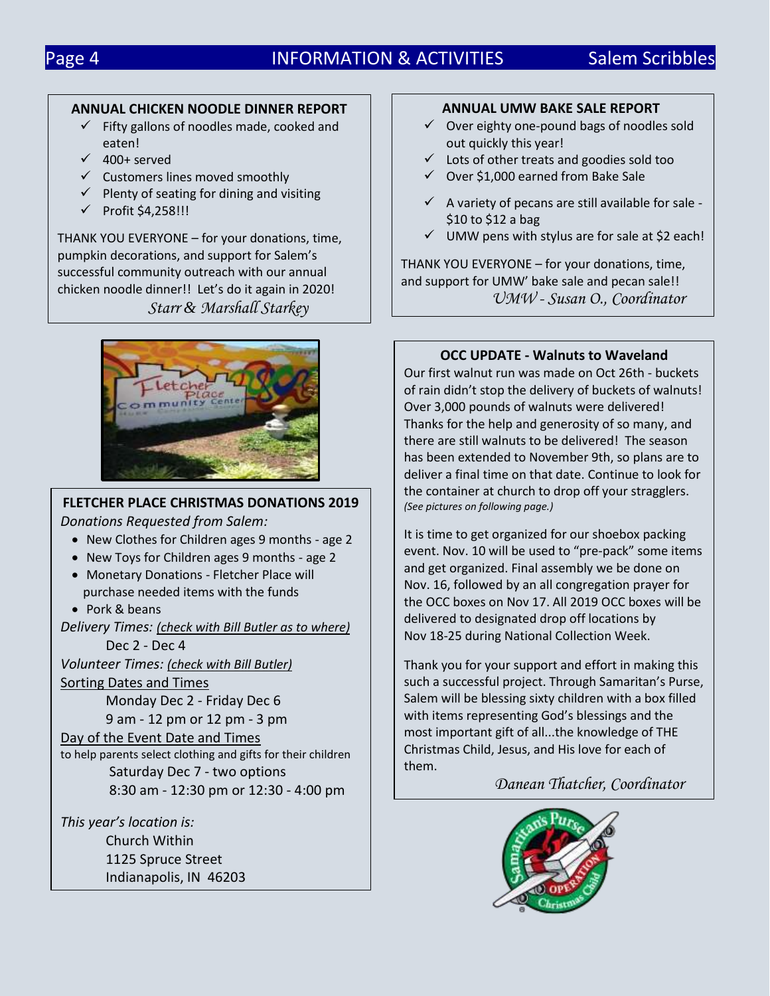# Page 4 **INFORMATION & ACTIVITIES** Salem Scribbles

### **ANNUAL CHICKEN NOODLE DINNER REPORT**

- $\checkmark$  Fifty gallons of noodles made, cooked and eaten!
- $\times$  400+ served
- $\checkmark$  Customers lines moved smoothly
- $\checkmark$  Plenty of seating for dining and visiting
- ✓ Profit \$4,258!!!

THANK YOU EVERYONE – for your donations, time, pumpkin decorations, and support for Salem's successful community outreach with our annual chicken noodle dinner!! Let's do it again in 2020! *Starr & Marshall Starkey*



### **FLETCHER PLACE CHRISTMAS DONATIONS 2019**

*Donations Requested from Salem:*

- New Clothes for Children ages 9 months age 2
- New Toys for Children ages 9 months age 2
- Monetary Donations Fletcher Place will purchase needed items with the funds
- Pork & beans

*Delivery Times: (check with Bill Butler as to where)*

Dec 2 - Dec 4

*Volunteer Times: (check with Bill Butler)* Sorting Dates and Times

Monday Dec 2 - Friday Dec 6 9 am - 12 pm or 12 pm - 3 pm

Day of the Event Date and Times

to help parents select clothing and gifts for their children Saturday Dec 7 - two options 8:30 am - 12:30 pm or 12:30 - 4:00 pm

*This year's location is:* Church Within 1125 Spruce Street Indianapolis, IN 46203

#### **ANNUAL UMW BAKE SALE REPORT**

- ✓ Over eighty one-pound bags of noodles sold out quickly this year!
- ✓ Lots of other treats and goodies sold too
- ✓ Over \$1,000 earned from Bake Sale
- $\checkmark$  A variety of pecans are still available for sale -\$10 to \$12 a bag
- $\checkmark$  UMW pens with stylus are for sale at \$2 each!

THANK YOU EVERYONE – for your donations, time, and support for UMW' bake sale and pecan sale!! *UMW - Susan O., Coordinator*

### **OCC UPDATE - Walnuts to Waveland**

Our first walnut run was made on Oct 26th - buckets of rain didn't stop the delivery of buckets of walnuts! Over 3,000 pounds of walnuts were delivered! Thanks for the help and generosity of so many, and there are still walnuts to be delivered! The season has been extended to November 9th, so plans are to deliver a final time on that date. Continue to look for the container at church to drop off your stragglers. *(See pictures on following page.)*

It is time to get organized for our shoebox packing event. Nov. 10 will be used to "pre-pack" some items and get organized. Final assembly we be done on Nov. 16, followed by an all congregation prayer for the OCC boxes on Nov 17. All 2019 OCC boxes will be delivered to designated drop off locations by Nov 18-25 during National Collection Week.

Thank you for your support and effort in making this such a successful project. Through Samaritan's Purse, Salem will be blessing sixty children with a box filled with items representing God's blessings and the most important gift of all...the knowledge of THE Christmas Child, Jesus, and His love for each of them.

*Danean Thatcher, Coordinator*

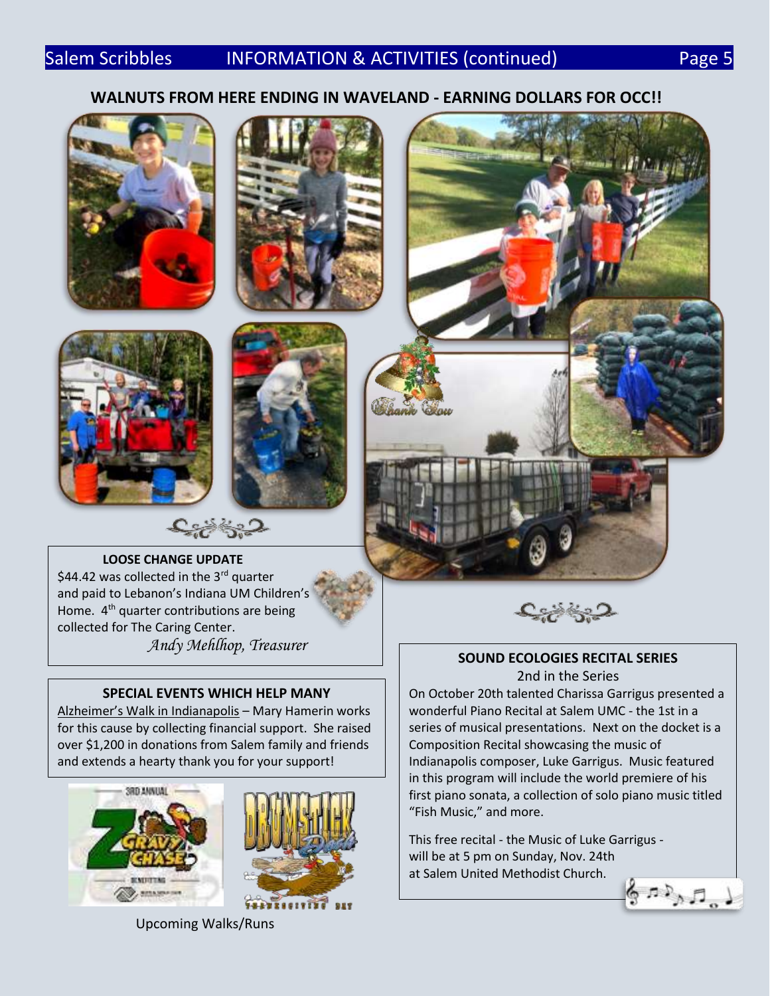# **WALNUTS FROM HERE ENDING IN WAVELAND - EARNING DOLLARS FOR OCC!!**









# **LOOSE CHANGE UPDATE**

\$44.42 was collected in the  $3<sup>rd</sup>$  quarter and paid to Lebanon's Indiana UM Children's Home. 4<sup>th</sup> quarter contributions are being collected for The Caring Center. *Andy Mehlhop, Treasurer*

# **SPECIAL EVENTS WHICH HELP MANY**

-⊊⊱ં⊰ૂ⊋

Alzheimer's Walk in Indianapolis – Mary Hamerin works for this cause by collecting financial support. She raised over \$1,200 in donations from Salem family and friends and extends a hearty thank you for your support!





Upcoming Walks/Runs

# -⊊⊱ રુંુ⊋

# **SOUND ECOLOGIES RECITAL SERIES** 2nd in the Series

On October 20th talented Charissa Garrigus presented a wonderful Piano Recital at Salem UMC - the 1st in a series of musical presentations. Next on the docket is a Composition Recital showcasing the music of Indianapolis composer, Luke Garrigus. Music featured in this program will include the world premiere of his first piano sonata, a collection of solo piano music titled "Fish Music," and more.

This free recital - the Music of Luke Garrigus will be at 5 pm on Sunday, Nov. 24th at Salem United Methodist Church.

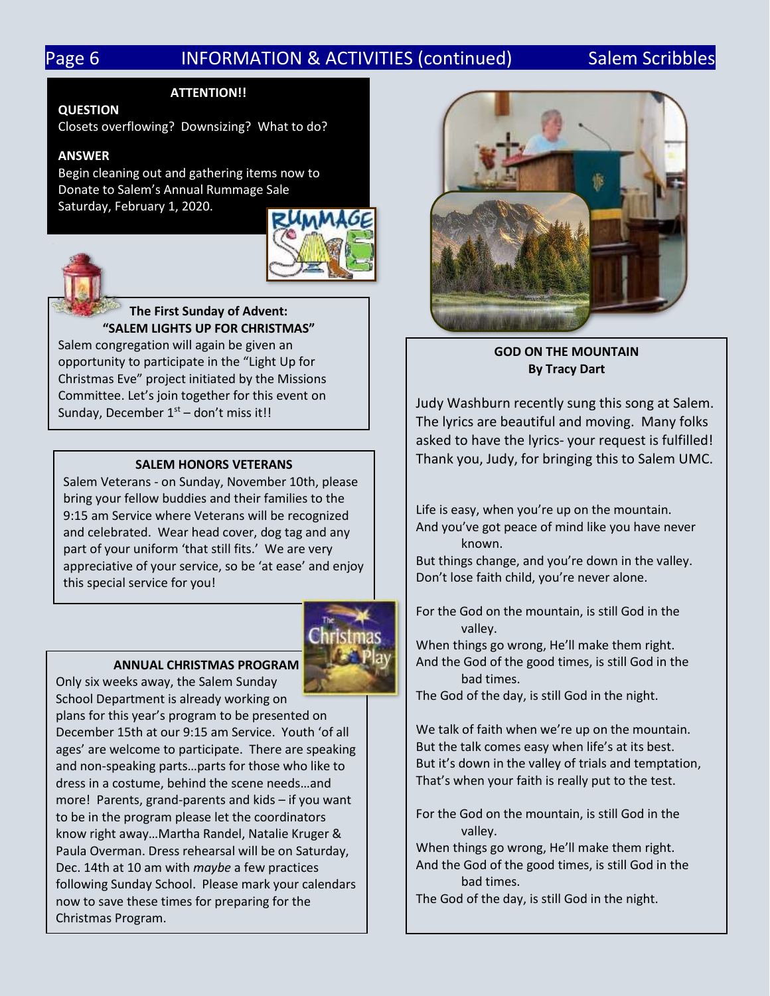# Page 6 **INFORMATION & ACTIVITIES (continued)** Salem Scribbles

# **ATTENTION!!**

#### **QUESTION**

Closets overflowing? Downsizing? What to do?

#### **ANSWER**

Begin cleaning out and gathering items now to Donate to Salem's Annual Rummage Sale Saturday, February 1, 2020.





**The First Sunday of Advent: "SALEM LIGHTS UP FOR CHRISTMAS"**

Salem congregation will again be given an opportunity to participate in the "Light Up for Christmas Eve" project initiated by the Missions Committee. Let's join together for this event on Sunday, December  $1<sup>st</sup>$  – don't miss it!!

#### **SALEM HONORS VETERANS**

Salem Veterans - on Sunday, November 10th, please bring your fellow buddies and their families to the 9:15 am Service where Veterans will be recognized and celebrated. Wear head cover, dog tag and any part of your uniform 'that still fits.' We are very appreciative of your service, so be 'at ease' and enjoy this special service for you!



#### **ANNUAL CHRISTMAS PROGRAM**

Only six weeks away, the Salem Sunday School Department is already working on plans for this year's program to be presented on December 15th at our 9:15 am Service. Youth 'of all ages' are welcome to participate. There are speaking and non-speaking parts…parts for those who like to dress in a costume, behind the scene needs…and more! Parents, grand-parents and kids – if you want to be in the program please let the coordinators know right away…Martha Randel, Natalie Kruger & Paula Overman. Dress rehearsal will be on Saturday, Dec. 14th at 10 am with *maybe* a few practices following Sunday School. Please mark your calendars now to save these times for preparing for the Christmas Program.



**GOD ON THE MOUNTAIN By Tracy Dart**

Judy Washburn recently sung this song at Salem. The lyrics are beautiful and moving. Many folks asked to have the lyrics- your request is fulfilled! Thank you, Judy, for bringing this to Salem UMC.

Life is easy, when you're up on the mountain. And you've got peace of mind like you have never known.

But things change, and you're down in the valley. Don't lose faith child, you're never alone.

For the God on the mountain, is still God in the valley.

When things go wrong, He'll make them right. And the God of the good times, is still God in the bad times.

The God of the day, is still God in the night.

We talk of faith when we're up on the mountain. But the talk comes easy when life's at its best. But it's down in the valley of trials and temptation, That's when your faith is really put to the test.

For the God on the mountain, is still God in the valley.

When things go wrong, He'll make them right. And the God of the good times, is still God in the bad times.

The God of the day, is still God in the night.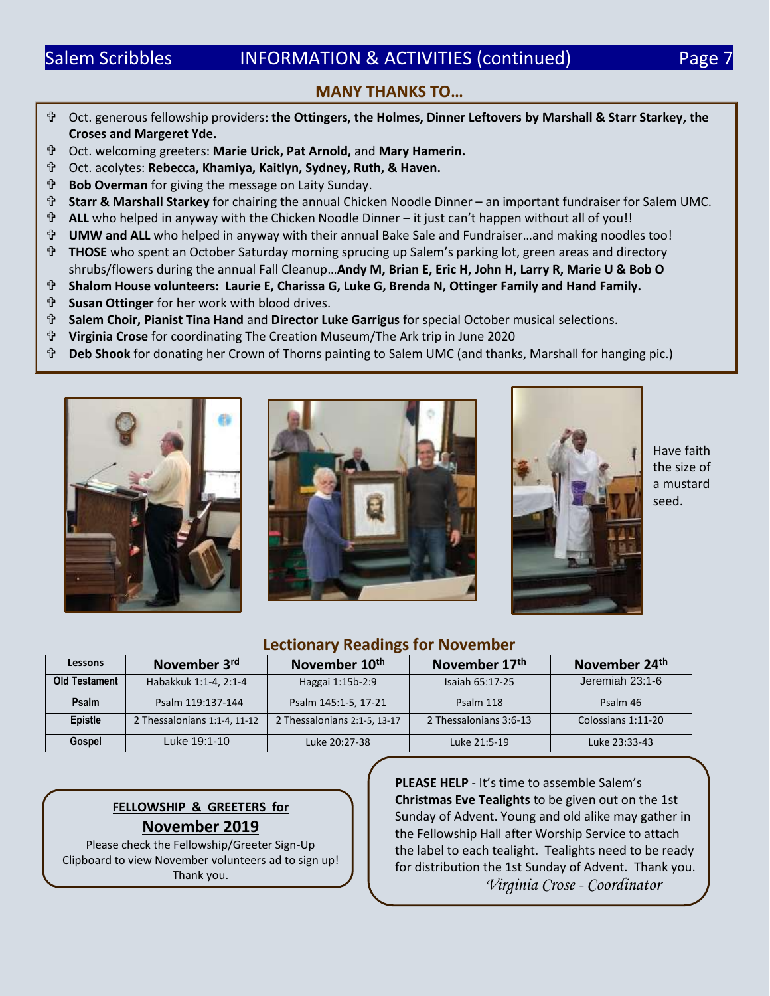# Salem Scribbles **INFORMATION & ACTIVITIES (continued)** Page 7

- Oct. generous fellowship providers**: the Ottingers, the Holmes, Dinner Leftovers by Marshall & Starr Starkey, the Croses and Margeret Yde.**
- Oct. welcoming greeters: **Marie Urick, Pat Arnold,** and **Mary Hamerin.**
- Oct. acolytes: **Rebecca, Khamiya, Kaitlyn, Sydney, Ruth, & Haven.**
- **Bob Overman** for giving the message on Laity Sunday.
- **Starr & Marshall Starkey** for chairing the annual Chicken Noodle Dinner an important fundraiser for Salem UMC.
- **ALL** who helped in anyway with the Chicken Noodle Dinner it just can't happen without all of you!!
- **UMW and ALL** who helped in anyway with their annual Bake Sale and Fundraiser…and making noodles too!
- **THOSE** who spent an October Saturday morning sprucing up Salem's parking lot, green areas and directory shrubs/flowers during the annual Fall Cleanup…**Andy M, Brian E, Eric H, John H, Larry R, Marie U & Bob O**
- **Shalom House volunteers: Laurie E, Charissa G, Luke G, Brenda N, Ottinger Family and Hand Family.**
- **Susan Ottinger** for her work with blood drives.
- **Salem Choir, Pianist Tina Hand** and **Director Luke Garrigus** for special October musical selections.
- **Virginia Crose** for coordinating The Creation Museum/The Ark trip in June 2020
- **Deb Shook** for donating her Crown of Thorns painting to Salem UMC (and thanks, Marshall for hanging pic.)







Have faith the size of a mustard seed.

# **Lectionary Readings for November**

| Lessons              | November 3rd                 | ັ<br>November 10 <sup>th</sup> | November 17th          | November 24th      |
|----------------------|------------------------------|--------------------------------|------------------------|--------------------|
| <b>Old Testament</b> | Habakkuk 1:1-4, 2:1-4        | Haggai 1:15b-2:9               | Isaiah 65:17-25        | Jeremiah 23:1-6    |
| Psalm                | Psalm 119:137-144            | Psalm 145:1-5, 17-21           | Psalm 118              | Psalm 46           |
| <b>Epistle</b>       | 2 Thessalonians 1:1-4, 11-12 | 2 Thessalonians 2:1-5, 13-17   | 2 Thessalonians 3:6-13 | Colossians 1:11-20 |
| Gospel               | Luke 19:1-10                 | Luke 20:27-38                  | Luke 21:5-19           | Luke 23:33-43      |

# **FELLOWSHIP & GREETERS for November 2019**

Please check the Fellowship/Greeter Sign-Up Clipboard to view November volunteers ad to sign up! Thank you.

**PLEASE HELP** - It's time to assemble Salem's **Christmas Eve Tealights** to be given out on the 1st Sunday of Advent. Young and old alike may gather in the Fellowship Hall after Worship Service to attach the label to each tealight. Tealights need to be ready for distribution the 1st Sunday of Advent. Thank you. *Virginia Crose - Coordinator*